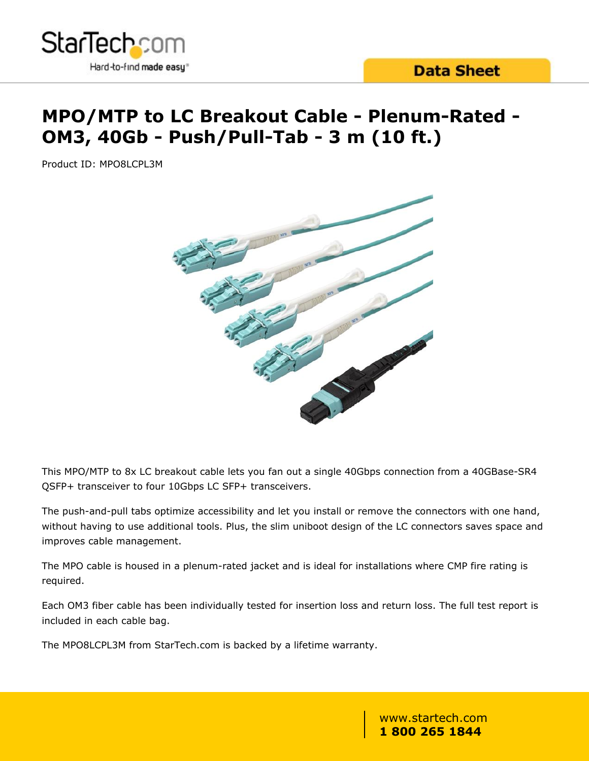

# **MPO/MTP to LC Breakout Cable - Plenum-Rated - OM3, 40Gb - Push/Pull-Tab - 3 m (10 ft.)**

Product ID: MPO8LCPL3M



This MPO/MTP to 8x LC breakout cable lets you fan out a single 40Gbps connection from a 40GBase-SR4 QSFP+ transceiver to four 10Gbps LC SFP+ transceivers.

The push-and-pull tabs optimize accessibility and let you install or remove the connectors with one hand, without having to use additional tools. Plus, the slim uniboot design of the LC connectors saves space and improves cable management.

The MPO cable is housed in a plenum-rated jacket and is ideal for installations where CMP fire rating is required.

Each OM3 fiber cable has been individually tested for insertion loss and return loss. The full test report is included in each cable bag.

The MPO8LCPL3M from StarTech.com is backed by a lifetime warranty.

www.startech.com **1 800 265 1844**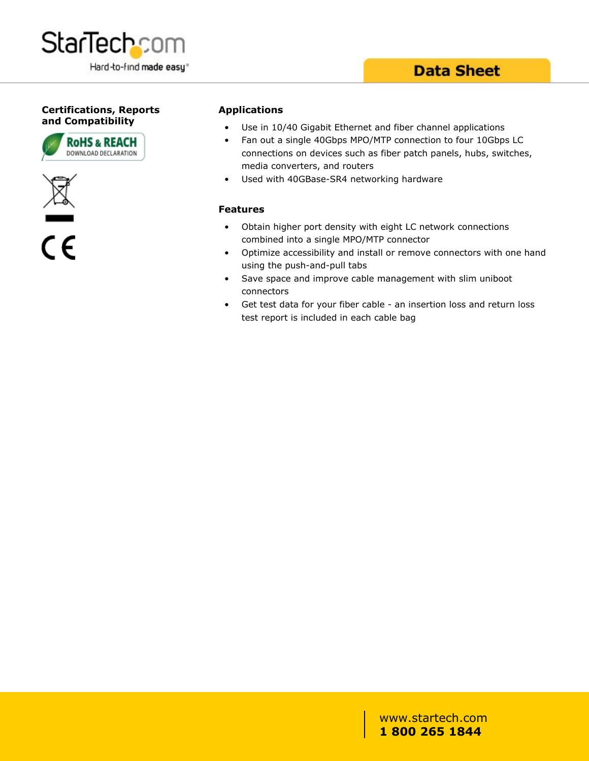

### **Data Sheet**

#### **Certifications, Reports and Compatibility**





 $\overline{\overline{\mathsf{c}}\mathsf{c}}$ 

#### **Applications**

- Use in 10/40 Gigabit Ethernet and fiber channel applications
- Fan out a single 40Gbps MPO/MTP connection to four 10Gbps LC connections on devices such as fiber patch panels, hubs, switches, media converters, and routers
- Used with 40GBase-SR4 networking hardware

#### **Features**

- Obtain higher port density with eight LC network connections combined into a single MPO/MTP connector
- Optimize accessibility and install or remove connectors with one hand using the push-and-pull tabs
- Save space and improve cable management with slim uniboot connectors
- Get test data for your fiber cable an insertion loss and return loss test report is included in each cable bag

www.startech.com **1 800 265 1844**